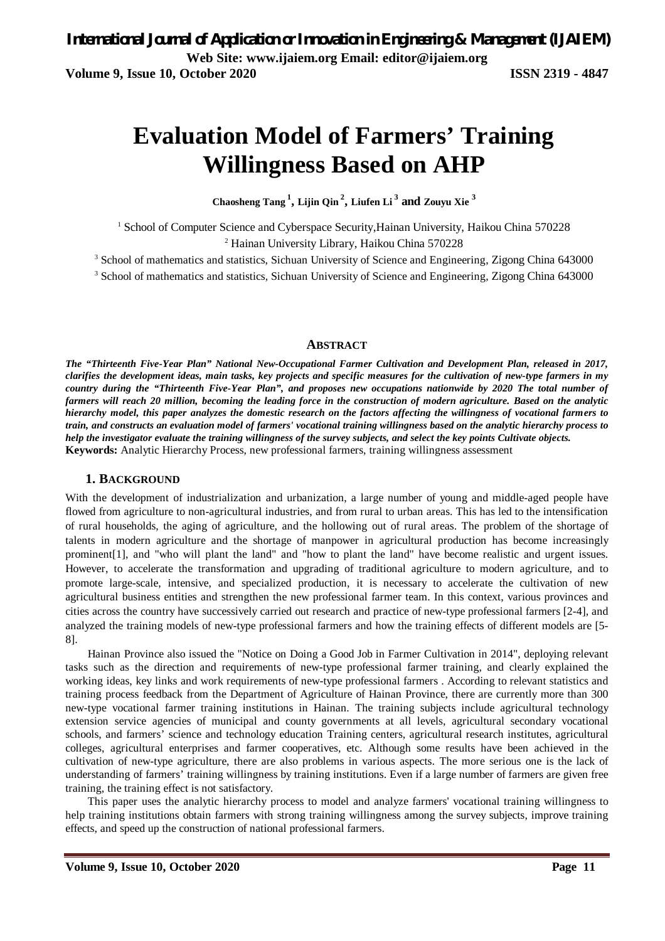# **Evaluation Model of Farmers' Training Willingness Based on AHP**

**Chaosheng Tang <sup>1</sup> , Lijin Qin <sup>2</sup> , Liufen Li <sup>3</sup> and Zouyu Xie <sup>3</sup>**

<sup>1</sup> School of Computer Science and Cyberspace Security, Hainan University, Haikou China 570228 <sup>2</sup> Hainan University Library, Haikou China 570228

<sup>3</sup> School of mathematics and statistics, Sichuan University of Science and Engineering, Zigong China 643000

<sup>3</sup> School of mathematics and statistics, Sichuan University of Science and Engineering, Zigong China 643000

#### **ABSTRACT**

*The "Thirteenth Five-Year Plan" National New-Occupational Farmer Cultivation and Development Plan, released in 2017, clarifies the development ideas, main tasks, key projects and specific measures for the cultivation of new-type farmers in my country during the "Thirteenth Five-Year Plan", and proposes new occupations nationwide by 2020 The total number of farmers will reach 20 million, becoming the leading force in the construction of modern agriculture. Based on the analytic hierarchy model, this paper analyzes the domestic research on the factors affecting the willingness of vocational farmers to train, and constructs an evaluation model of farmers' vocational training willingness based on the analytic hierarchy process to help the investigator evaluate the training willingness of the survey subjects, and select the key points Cultivate objects.* **Keywords:** Analytic Hierarchy Process, new professional farmers, training willingness assessment

#### **1. BACKGROUND**

With the development of industrialization and urbanization, a large number of young and middle-aged people have flowed from agriculture to non-agricultural industries, and from rural to urban areas. This has led to the intensification of rural households, the aging of agriculture, and the hollowing out of rural areas. The problem of the shortage of talents in modern agriculture and the shortage of manpower in agricultural production has become increasingly prominent[1], and "who will plant the land" and "how to plant the land" have become realistic and urgent issues. However, to accelerate the transformation and upgrading of traditional agriculture to modern agriculture, and to promote large-scale, intensive, and specialized production, it is necessary to accelerate the cultivation of new agricultural business entities and strengthen the new professional farmer team. In this context, various provinces and cities across the country have successively carried out research and practice of new-type professional farmers [2-4], and analyzed the training models of new-type professional farmers and how the training effects of different models are [5- 8].

Hainan Province also issued the "Notice on Doing a Good Job in Farmer Cultivation in 2014", deploying relevant tasks such as the direction and requirements of new-type professional farmer training, and clearly explained the working ideas, key links and work requirements of new-type professional farmers . According to relevant statistics and training process feedback from the Department of Agriculture of Hainan Province, there are currently more than 300 new-type vocational farmer training institutions in Hainan. The training subjects include agricultural technology extension service agencies of municipal and county governments at all levels, agricultural secondary vocational schools, and farmers' science and technology education Training centers, agricultural research institutes, agricultural colleges, agricultural enterprises and farmer cooperatives, etc. Although some results have been achieved in the cultivation of new-type agriculture, there are also problems in various aspects. The more serious one is the lack of understanding of farmers' training willingness by training institutions. Even if a large number of farmers are given free training, the training effect is not satisfactory.

This paper uses the analytic hierarchy process to model and analyze farmers' vocational training willingness to help training institutions obtain farmers with strong training willingness among the survey subjects, improve training effects, and speed up the construction of national professional farmers.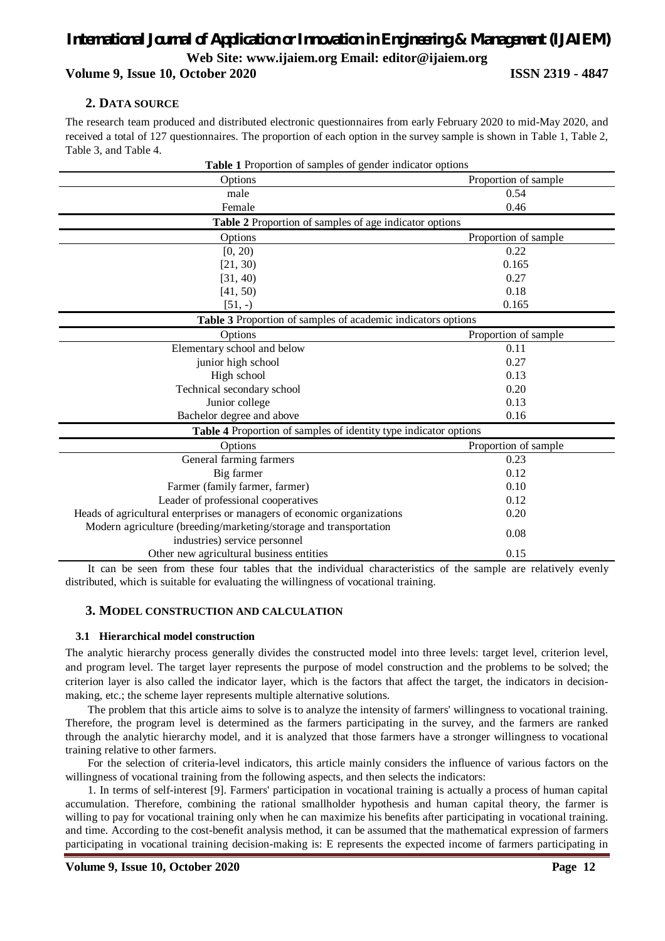#### *International Journal of Application or Innovation in Engineering & Management (IJAIEM)* **Web Site: www.ijaiem.org Email: editor@ijaiem.org**

**Volume 9, Issue 10, October 2020 ISSN 2319 - 4847**

#### **2. DATA SOURCE**

The research team produced and distributed electronic questionnaires from early February 2020 to mid-May 2020, and received a total of 127 questionnaires. The proportion of each option in the survey sample is shown in Table 1, Table 2, Table 3, and Table 4.

| Table 1 Proportion of samples of gender indicator options               |                      |
|-------------------------------------------------------------------------|----------------------|
| Options                                                                 | Proportion of sample |
| male                                                                    | 0.54                 |
| Female                                                                  | 0.46                 |
| Table 2 Proportion of samples of age indicator options                  |                      |
| Options                                                                 | Proportion of sample |
| [0, 20)                                                                 | 0.22                 |
| [21, 30)                                                                | 0.165                |
| [31, 40)                                                                | 0.27                 |
| [41, 50)                                                                | 0.18                 |
| $[51, -)$                                                               | 0.165                |
| Table 3 Proportion of samples of academic indicators options            |                      |
| Options                                                                 | Proportion of sample |
| Elementary school and below                                             | 0.11                 |
| junior high school                                                      | 0.27                 |
| High school                                                             | 0.13                 |
| Technical secondary school                                              | 0.20                 |
| Junior college                                                          | 0.13                 |
| Bachelor degree and above                                               | 0.16                 |
| Table 4 Proportion of samples of identity type indicator options        |                      |
| Options                                                                 | Proportion of sample |
| General farming farmers                                                 | 0.23                 |
| Big farmer                                                              | 0.12                 |
| Farmer (family farmer, farmer)                                          | 0.10                 |
| Leader of professional cooperatives                                     | 0.12                 |
| Heads of agricultural enterprises or managers of economic organizations | 0.20                 |
| Modern agriculture (breeding/marketing/storage and transportation       |                      |
| industries) service personnel                                           | 0.08                 |
| Other new agricultural business entities                                | 0.15                 |

It can be seen from these four tables that the individual characteristics of the sample are relatively evenly distributed, which is suitable for evaluating the willingness of vocational training.

#### **3. MODEL CONSTRUCTION AND CALCULATION**

#### **3.1 Hierarchical model construction**

The analytic hierarchy process generally divides the constructed model into three levels: target level, criterion level, and program level. The target layer represents the purpose of model construction and the problems to be solved; the criterion layer is also called the indicator layer, which is the factors that affect the target, the indicators in decisionmaking, etc.; the scheme layer represents multiple alternative solutions.

The problem that this article aims to solve is to analyze the intensity of farmers' willingness to vocational training. Therefore, the program level is determined as the farmers participating in the survey, and the farmers are ranked through the analytic hierarchy model, and it is analyzed that those farmers have a stronger willingness to vocational training relative to other farmers.

For the selection of criteria-level indicators, this article mainly considers the influence of various factors on the willingness of vocational training from the following aspects, and then selects the indicators:

1. In terms of self-interest [9]. Farmers' participation in vocational training is actually a process of human capital accumulation. Therefore, combining the rational smallholder hypothesis and human capital theory, the farmer is willing to pay for vocational training only when he can maximize his benefits after participating in vocational training. and time. According to the cost-benefit analysis method, it can be assumed that the mathematical expression of farmers participating in vocational training decision-making is: E represents the expected income of farmers participating in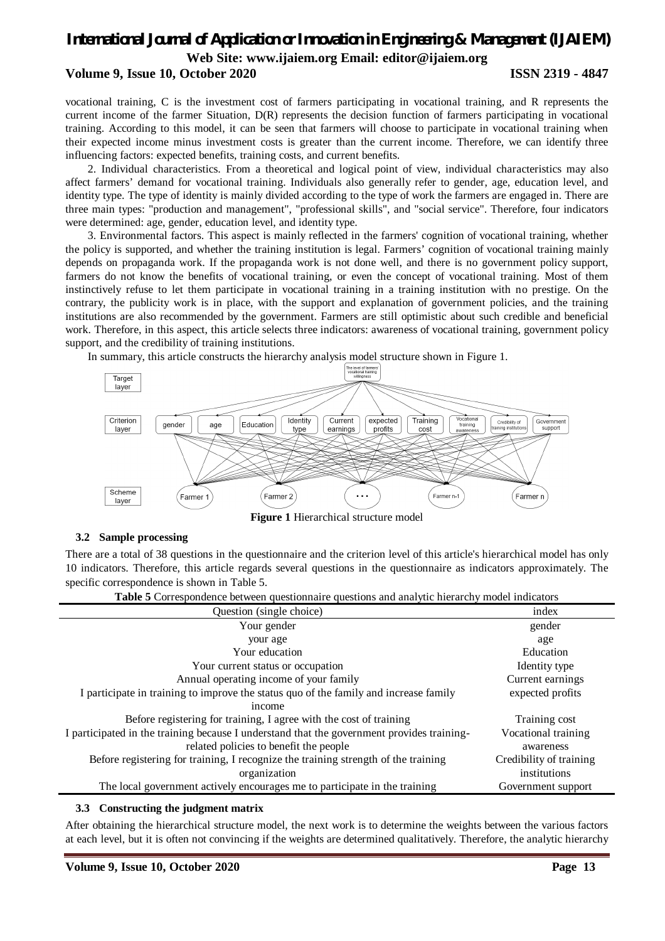## *International Journal of Application or Innovation in Engineering & Management (IJAIEM)*

**Web Site: www.ijaiem.org Email: editor@ijaiem.org**

#### **Volume 9, Issue 10, October 2020 ISSN 2319 - 4847**

vocational training, C is the investment cost of farmers participating in vocational training, and R represents the current income of the farmer Situation, D(R) represents the decision function of farmers participating in vocational training. According to this model, it can be seen that farmers will choose to participate in vocational training when their expected income minus investment costs is greater than the current income. Therefore, we can identify three influencing factors: expected benefits, training costs, and current benefits.

2. Individual characteristics. From a theoretical and logical point of view, individual characteristics may also affect farmers' demand for vocational training. Individuals also generally refer to gender, age, education level, and identity type. The type of identity is mainly divided according to the type of work the farmers are engaged in. There are three main types: "production and management", "professional skills", and "social service". Therefore, four indicators were determined: age, gender, education level, and identity type.

3. Environmental factors. This aspect is mainly reflected in the farmers' cognition of vocational training, whether the policy is supported, and whether the training institution is legal. Farmers' cognition of vocational training mainly depends on propaganda work. If the propaganda work is not done well, and there is no government policy support, farmers do not know the benefits of vocational training, or even the concept of vocational training. Most of them instinctively refuse to let them participate in vocational training in a training institution with no prestige. On the contrary, the publicity work is in place, with the support and explanation of government policies, and the training institutions are also recommended by the government. Farmers are still optimistic about such credible and beneficial work. Therefore, in this aspect, this article selects three indicators: awareness of vocational training, government policy support, and the credibility of training institutions.

In summary, this article constructs the hierarchy analysis model structure shown in Figure 1.



**Figure 1** Hierarchical structure model

#### **3.2 Sample processing**

There are a total of 38 questions in the questionnaire and the criterion level of this article's hierarchical model has only 10 indicators. Therefore, this article regards several questions in the questionnaire as indicators approximately. The specific correspondence is shown in Table 5.

**Table 5** Correspondence between questionnaire questions and analytic hierarchy model indicators

| Question (single choice)                                                                   | index                   |
|--------------------------------------------------------------------------------------------|-------------------------|
| Your gender                                                                                | gender                  |
| your age                                                                                   | age                     |
| Your education                                                                             | Education               |
| Your current status or occupation                                                          | Identity type           |
| Annual operating income of your family                                                     | Current earnings        |
| I participate in training to improve the status quo of the family and increase family      | expected profits        |
| income                                                                                     |                         |
| Before registering for training, I agree with the cost of training                         | Training cost           |
| I participated in the training because I understand that the government provides training- | Vocational training     |
| related policies to benefit the people                                                     | awareness               |
| Before registering for training, I recognize the training strength of the training         | Credibility of training |
| organization                                                                               | institutions            |
| The local government actively encourages me to participate in the training                 | Government support      |

#### **3.3 Constructing the judgment matrix**

After obtaining the hierarchical structure model, the next work is to determine the weights between the various factors at each level, but it is often not convincing if the weights are determined qualitatively. Therefore, the analytic hierarchy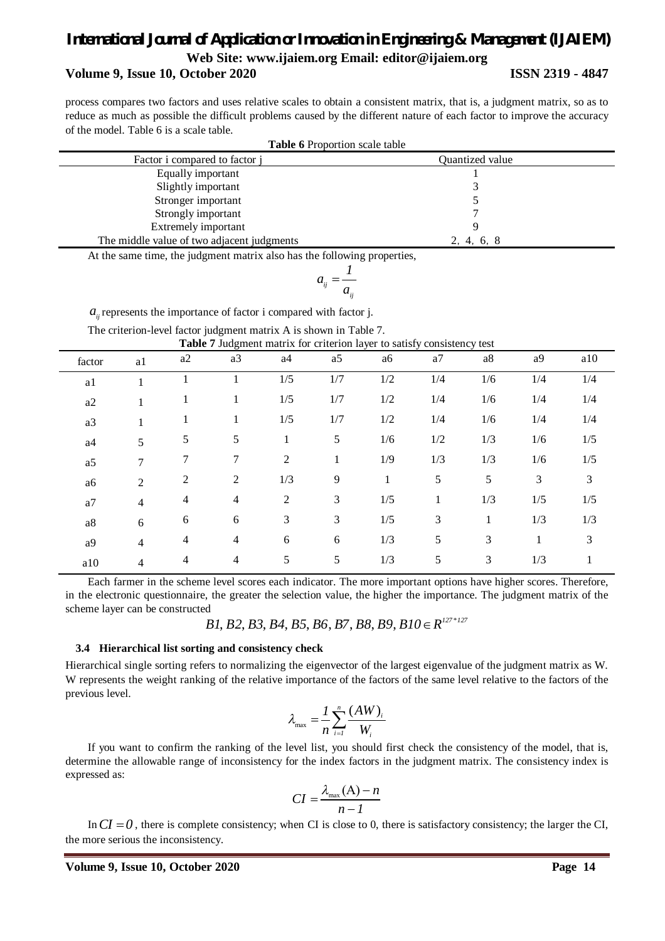#### *International Journal of Application or Innovation in Engineering & Management (IJAIEM)* **Web Site: www.ijaiem.org Email: editor@ijaiem.org**

#### **Volume 9, Issue 10, October 2020 ISSN 2319 - 4847**

process compares two factors and uses relative scales to obtain a consistent matrix, that is, a judgment matrix, so as to reduce as much as possible the difficult problems caused by the different nature of each factor to improve the accuracy of the model. Table 6 is a scale table. **Table 6** Proportion scale table

| <b>lable 6</b> Proportion scale table      |                 |  |  |  |  |
|--------------------------------------------|-----------------|--|--|--|--|
| Factor i compared to factor i              | Quantized value |  |  |  |  |
| Equally important                          |                 |  |  |  |  |
| Slightly important                         |                 |  |  |  |  |
| Stronger important                         |                 |  |  |  |  |
| Strongly important                         |                 |  |  |  |  |
| Extremely important                        |                 |  |  |  |  |
| The middle value of two adjacent judgments | 2, 4, 6, 8      |  |  |  |  |

At the same time, the judgment matrix also has the following properties,

$$
a_{ij}=\frac{1}{a_{ij}}
$$

 $a_{ij}$  represents the importance of factor i compared with factor j.

The criterion-level factor judgment matrix A is shown in Table 7.

| <b>Table 7</b> Judgment matrix for criterion layer to satisfy consistency test |  |  |
|--------------------------------------------------------------------------------|--|--|
|--------------------------------------------------------------------------------|--|--|

| factor    | a1             | a2 | a3             | a4             | a5  | a6  | a <sub>7</sub> | a8  | a <sup>9</sup> | a10 |
|-----------|----------------|----|----------------|----------------|-----|-----|----------------|-----|----------------|-----|
| a1        |                |    |                | 1/5            | 1/7 | 1/2 | 1/4            | 1/6 | 1/4            | 1/4 |
| a2        |                | 1  |                | 1/5            | 1/7 | 1/2 | 1/4            | 1/6 | 1/4            | 1/4 |
| a3        |                | 1  |                | 1/5            | 1/7 | 1/2 | 1/4            | 1/6 | 1/4            | 1/4 |
| a4        | 5              | 5  | 5              | 1              | 5   | 1/6 | 1/2            | 1/3 | 1/6            | 1/5 |
| a5        | 7              | 7  | 7              | $\mathfrak{2}$ | 1   | 1/9 | 1/3            | 1/3 | 1/6            | 1/5 |
| a6        | 2              | 2  | 2              | 1/3            | 9   | 1   | 5              | 5   | 3              | 3   |
| a7        | $\overline{4}$ | 4  | $\overline{4}$ | $\overline{2}$ | 3   | 1/5 | 1              | 1/3 | 1/5            | 1/5 |
| $\rm{a}8$ | 6              | 6  | 6              | 3              | 3   | 1/5 | 3              | 1   | 1/3            | 1/3 |
| a9        | $\overline{4}$ | 4  | 4              | 6              | 6   | 1/3 | 5              | 3   |                | 3   |
| a10       | 4              | 4  | 4              | 5              | 5   | 1/3 | 5              | 3   | 1/3            |     |

Each farmer in the scheme level scores each indicator. The more important options have higher scores. Therefore, in the electronic questionnaire, the greater the selection value, the higher the importance. The judgment matrix of the scheme layer can be constructed

 $B1, B2, B3, B4, B5, B6, B7, B8, B9, B10 \in R^{127*127}$ 

#### **3.4 Hierarchical list sorting and consistency check**

Hierarchical single sorting refers to normalizing the eigenvector of the largest eigenvalue of the judgment matrix as W. W represents the weight ranking of the relative importance of the factors of the same level relative to the factors of the previous level.

$$
\lambda_{\max} = \frac{1}{n} \sum_{i=1}^{n} \frac{(AW)_i}{W_i}
$$

If you want to confirm the ranking of the level list, you should first check the consistency of the model, that is, determine the allowable range of inconsistency for the index factors in the judgment matrix. The consistency index is expressed as:

$$
CI = \frac{\lambda_{\max}(A) - n}{n - 1}
$$

In  $CI = 0$ , there is complete consistency; when CI is close to 0, there is satisfactory consistency; the larger the CI, the more serious the inconsistency.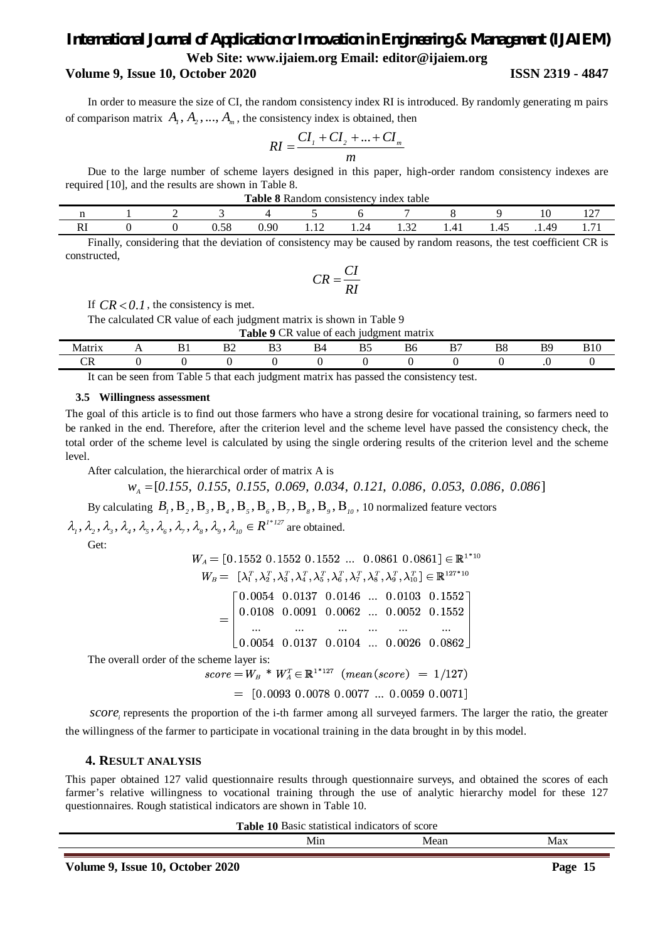#### *International Journal of Application or Innovation in Engineering & Management (IJAIEM)* **Web Site: www.ijaiem.org Email: editor@ijaiem.org**

#### **Volume 9, Issue 10, October 2020 ISSN 2319 - 4847**

In order to measure the size of CI, the random consistency index RI is introduced. By randomly generating m pairs of comparison matrix  $A_1, A_2, ..., A_n$ , the consistency index is obtained, then

$$
RI = \frac{CI_{1} + CI_{2} + \dots + CI_{m}}{m}
$$

Due to the large number of scheme layers designed in this paper, high-order random consistency indexes are required [10], and the results are shown in Table 8.

| consistency index table<br>l`able<br>Random<br>0 |  |  |            |      |              |                          |                        |            |      |        |             |
|--------------------------------------------------|--|--|------------|------|--------------|--------------------------|------------------------|------------|------|--------|-------------|
| $\sim$<br>1 V<br>$\sim$<br>                      |  |  |            |      |              |                          |                        |            |      |        |             |
| DJ.<br>NТ.                                       |  |  | 50<br>u.jo | 0.90 | 1.1 <i>4</i> | $\mathcal{L}$<br>$1.2 +$ | $\sim$<br>1.J <i>L</i> | 1.TI<br>-- | 1.45 | . 1.49 | <b>1.11</b> |

Finally, considering that the deviation of consistency may be caused by random reasons, the test coefficient CR is constructed,

$$
CR = \frac{CI}{RI}
$$

If  $CR < 0.1$ , the consistency is met.

The calculated CR value of each judgment matrix is shown in Table 9

| $\overline{CR}$<br>Table 1<br>$\mathbf o$<br>value of each judgment matrix |     |         |    |   |    |  |    |          |          |         |     |
|----------------------------------------------------------------------------|-----|---------|----|---|----|--|----|----------|----------|---------|-----|
| Matri                                                                      | . . | D<br>DІ | ມ∠ | ມ | B4 |  | Bб | DC.<br>∸ | DС<br>DO | DС<br>് | B10 |
|                                                                            |     |         |    |   |    |  |    |          |          |         |     |

It can be seen from Table 5 that each judgment matrix has passed the consistency test.

#### **3.5 Willingness assessment**

The goal of this article is to find out those farmers who have a strong desire for vocational training, so farmers need to be ranked in the end. Therefore, after the criterion level and the scheme level have passed the consistency check, the total order of the scheme level is calculated by using the single ordering results of the criterion level and the scheme level.

After calculation, the hierarchical order of matrix A is

 $W_A = [0.155, 0.155, 0.155, 0.069, 0.034, 0.121, 0.086, 0.053, 0.086, 0.086]$ 

By calculating  $B_i, B_i, B_i, B_i, B_f, B_f, B_f, B_f, B_g, B_g, B_u, 10$  normalized feature vectors

 $\lambda_1, \lambda_2, \lambda_3, \lambda_4, \lambda_5, \lambda_6, \lambda_7, \lambda_8, \lambda_9, \lambda_{10} \in R^{1*127}$  are obtained.

Get:

 $W_A = [0.1552 \ 0.1552 \ 0.1552 \ \dots \ 0.0861 \ 0.0861] \in \mathbb{R}^{1*10}$  $W_B = \left[ \lambda_1^T, \lambda_2^T, \lambda_3^T, \lambda_4^T, \lambda_5^T, \lambda_6^T, \lambda_7^T, \lambda_8^T, \lambda_9^T, \lambda_{10}^T \right] \in \mathbb{R}^{127 * 10}$  $\begin{bmatrix} 0.0054 & 0.0137 & 0.0146 & \dots & 0.0103 & 0.1552 \end{bmatrix}$  $\bigg| 0.0108 \;\; 0.0091 \;\; 0.0062 \;\; ... \;\; 0.0052 \;\; 0.1552$ المنادي المناديمين المنادي المنادي المنا  $\begin{array}{|ccc|} 0.0054 & 0.0137 & 0.0104 & \dots & 0.0026 & 0.0862 \end{array}$ 

The overall order of the scheme layer is:<br> $W^* \star W^T = \mathbb{R}^{1*127}$ 

$$
score = W_B * W_A^T \in \mathbb{R}^{1*127} \ (mean(score) = 1/127)
$$

 $=$  [0.0093 0.0078 0.0077 ... 0.0059 0.0071]

*score*<sub>i</sub> represents the proportion of the i-th farmer among all surveyed farmers. The larger the ratio, the greater the willingness of the farmer to participate in vocational training in the data brought in by this model.

#### **4. RESULT ANALYSIS**

This paper obtained 127 valid questionnaire results through questionnaire surveys, and obtained the scores of each farmer's relative willingness to vocational training through the use of analytic hierarchy model for these 127 questionnaires. Rough statistical indicators are shown in Table 10.

**Table 10** Basic statistical indicators of score

|  | $\frac{1}{2} \left( \frac{1}{2} \right) \left( \frac{1}{2} \right) \left( \frac{1}{2} \right)$ |  |
|--|------------------------------------------------------------------------------------------------|--|
|  |                                                                                                |  |
|  |                                                                                                |  |